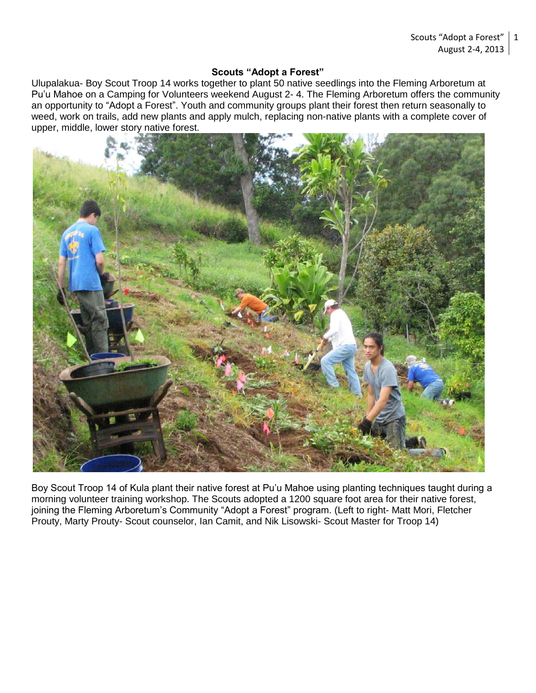## **Scouts "Adopt a Forest"**

Ulupalakua- Boy Scout Troop 14 works together to plant 50 native seedlings into the Fleming Arboretum at Pu'u Mahoe on a Camping for Volunteers weekend August 2- 4. The Fleming Arboretum offers the community an opportunity to "Adopt a Forest". Youth and community groups plant their forest then return seasonally to weed, work on trails, add new plants and apply mulch, replacing non-native plants with a complete cover of upper, middle, lower story native forest.



Boy Scout Troop 14 of Kula plant their native forest at Pu'u Mahoe using planting techniques taught during a morning volunteer training workshop. The Scouts adopted a 1200 square foot area for their native forest, joining the Fleming Arboretum's Community "Adopt a Forest" program. (Left to right- Matt Mori, Fletcher Prouty, Marty Prouty- Scout counselor, Ian Camit, and Nik Lisowski- Scout Master for Troop 14)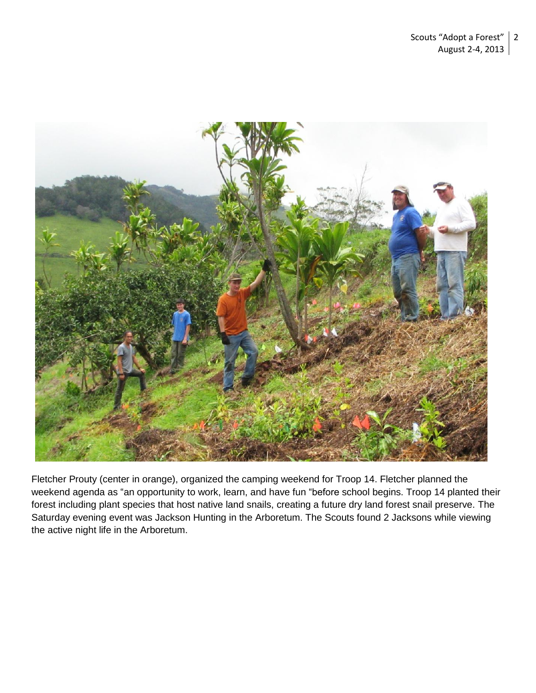

Fletcher Prouty (center in orange), organized the camping weekend for Troop 14. Fletcher planned the weekend agenda as "an opportunity to work, learn, and have fun "before school begins. Troop 14 planted their forest including plant species that host native land snails, creating a future dry land forest snail preserve. The Saturday evening event was Jackson Hunting in the Arboretum. The Scouts found 2 Jacksons while viewing the active night life in the Arboretum.